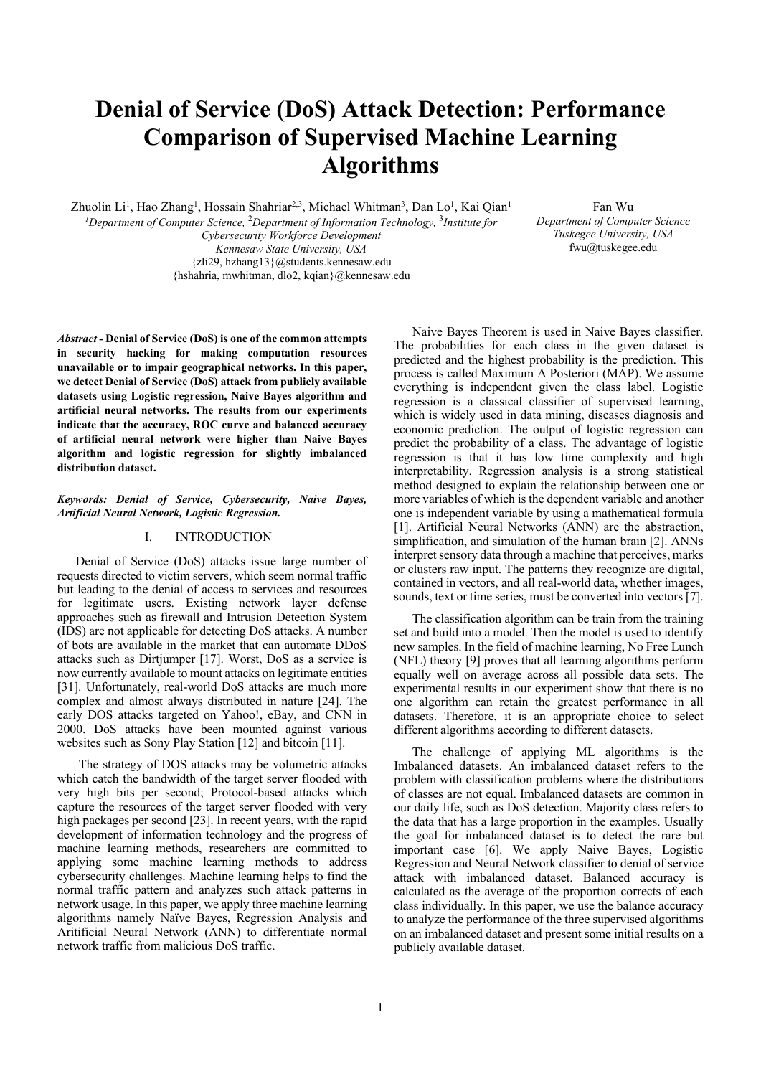# **Denial of Service (DoS) Attack Detection: Performance Comparison of Supervised Machine Learning Algorithms**

Zhuolin Li<sup>1</sup>, Hao Zhang<sup>1</sup>, Hossain Shahriar<sup>2,3</sup>, Michael Whitman<sup>3</sup>, Dan Lo<sup>1</sup>, Kai Qian<sup>1</sup>

*1Department of Computer Science,* <sup>2</sup> *Department of Information Technology,* <sup>3</sup> *Institute for Cybersecurity Workforce Development Kennesaw State University, USA* {zli29, hzhang13}@students.kennesaw.edu {hshahria, mwhitman, dlo2, kqian}@kennesaw.edu

Fan Wu *Department of Computer Science Tuskegee University, USA* fwu@tuskegee.edu

*Abstract -* **Denial of Service (DoS) is one of the common attempts in security hacking for making computation resources unavailable or to impair geographical networks. In this paper, we detect Denial of Service (DoS) attack from publicly available datasets using Logistic regression, Naive Bayes algorithm and artificial neural networks. The results from our experiments indicate that the accuracy, ROC curve and balanced accuracy of artificial neural network were higher than Naive Bayes algorithm and logistic regression for slightly imbalanced distribution dataset.**

## *Keywords: Denial of Service, Cybersecurity, Naive Bayes, Artificial Neural Network, Logistic Regression.*

## I. INTRODUCTION

Denial of Service (DoS) attacks issue large number of requests directed to victim servers, which seem normal traffic but leading to the denial of access to services and resources for legitimate users. Existing network layer defense approaches such as firewall and Intrusion Detection System (IDS) are not applicable for detecting DoS attacks. A number of bots are available in the market that can automate DDoS attacks such as Dirtjumper [17]. Worst, DoS as a service is now currently available to mount attacks on legitimate entities [31]. Unfortunately, real-world DoS attacks are much more complex and almost always distributed in nature [24]. The early DOS attacks targeted on Yahoo!, eBay, and CNN in 2000. DoS attacks have been mounted against various websites such as Sony Play Station [12] and bitcoin [11].

The strategy of DOS attacks may be volumetric attacks which catch the bandwidth of the target server flooded with very high bits per second; Protocol-based attacks which capture the resources of the target server flooded with very high packages per second [23]. In recent years, with the rapid development of information technology and the progress of machine learning methods, researchers are committed to applying some machine learning methods to address cybersecurity challenges. Machine learning helps to find the normal traffic pattern and analyzes such attack patterns in network usage. In this paper, we apply three machine learning algorithms namely Naïve Bayes, Regression Analysis and Aritificial Neural Network (ANN) to differentiate normal network traffic from malicious DoS traffic.

Naive Bayes Theorem is used in Naive Bayes classifier. The probabilities for each class in the given dataset is predicted and the highest probability is the prediction. This process is called Maximum A Posteriori (MAP). We assume everything is independent given the class label. Logistic regression is a classical classifier of supervised learning, which is widely used in data mining, diseases diagnosis and economic prediction. The output of logistic regression can predict the probability of a class. The advantage of logistic regression is that it has low time complexity and high interpretability. Regression analysis is a strong statistical method designed to explain the relationship between one or more variables of which is the dependent variable and another one is independent variable by using a mathematical formula [1]. Artificial Neural Networks (ANN) are the abstraction, simplification, and simulation of the human brain [2]. ANNs interpret sensory data through a machine that perceives, marks or clusters raw input. The patterns they recognize are digital, contained in vectors, and all real-world data, whether images, sounds, text or time series, must be converted into vectors [7].

The classification algorithm can be train from the training set and build into a model. Then the model is used to identify new samples. In the field of machine learning, No Free Lunch (NFL) theory [9] proves that all learning algorithms perform equally well on average across all possible data sets. The experimental results in our experiment show that there is no one algorithm can retain the greatest performance in all datasets. Therefore, it is an appropriate choice to select different algorithms according to different datasets.

The challenge of applying ML algorithms is the Imbalanced datasets. An imbalanced dataset refers to the problem with classification problems where the distributions of classes are not equal. Imbalanced datasets are common in our daily life, such as DoS detection. Majority class refers to the data that has a large proportion in the examples. Usually the goal for imbalanced dataset is to detect the rare but important case [6]. We apply Naive Bayes, Logistic Regression and Neural Network classifier to denial of service attack with imbalanced dataset. Balanced accuracy is calculated as the average of the proportion corrects of each class individually. In this paper, we use the balance accuracy to analyze the performance of the three supervised algorithms on an imbalanced dataset and present some initial results on a publicly available dataset.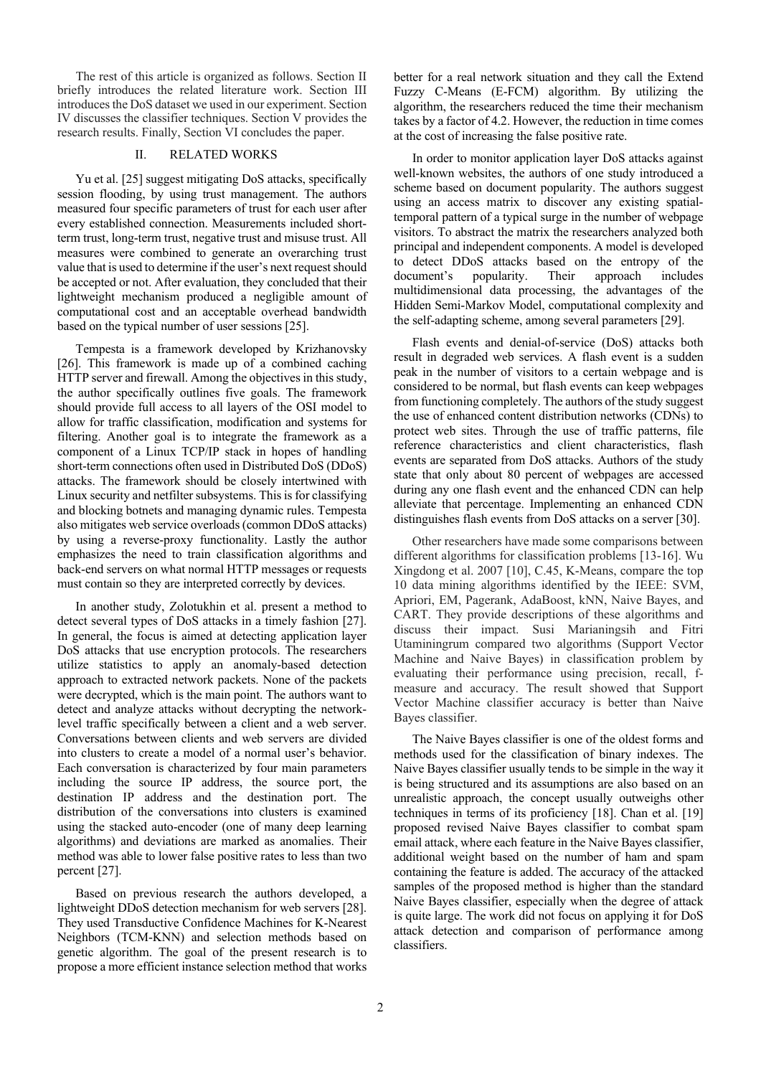The rest of this article is organized as follows. Section II briefly introduces the related literature work. Section III introduces the DoS dataset we used in our experiment. Section IV discusses the classifier techniques. Section V provides the research results. Finally, Section VI concludes the paper.

## II. RELATED WORKS

Yu et al. [25] suggest mitigating DoS attacks, specifically session flooding, by using trust management. The authors measured four specific parameters of trust for each user after every established connection. Measurements included shortterm trust, long-term trust, negative trust and misuse trust. All measures were combined to generate an overarching trust value that is used to determine if the user's next request should be accepted or not. After evaluation, they concluded that their lightweight mechanism produced a negligible amount of computational cost and an acceptable overhead bandwidth based on the typical number of user sessions [25].

Tempesta is a framework developed by Krizhanovsky [26]. This framework is made up of a combined caching HTTP server and firewall. Among the objectives in this study, the author specifically outlines five goals. The framework should provide full access to all layers of the OSI model to allow for traffic classification, modification and systems for filtering. Another goal is to integrate the framework as a component of a Linux TCP/IP stack in hopes of handling short-term connections often used in Distributed DoS (DDoS) attacks. The framework should be closely intertwined with Linux security and netfilter subsystems. This is for classifying and blocking botnets and managing dynamic rules. Tempesta also mitigates web service overloads (common DDoS attacks) by using a reverse-proxy functionality. Lastly the author emphasizes the need to train classification algorithms and back-end servers on what normal HTTP messages or requests must contain so they are interpreted correctly by devices.

In another study, Zolotukhin et al. present a method to detect several types of DoS attacks in a timely fashion [27]. In general, the focus is aimed at detecting application layer DoS attacks that use encryption protocols. The researchers utilize statistics to apply an anomaly-based detection approach to extracted network packets. None of the packets were decrypted, which is the main point. The authors want to detect and analyze attacks without decrypting the networklevel traffic specifically between a client and a web server. Conversations between clients and web servers are divided into clusters to create a model of a normal user's behavior. Each conversation is characterized by four main parameters including the source IP address, the source port, the destination IP address and the destination port. The distribution of the conversations into clusters is examined using the stacked auto-encoder (one of many deep learning algorithms) and deviations are marked as anomalies. Their method was able to lower false positive rates to less than two percent [27].

Based on previous research the authors developed, a lightweight DDoS detection mechanism for web servers [28]. They used Transductive Confidence Machines for K-Nearest Neighbors (TCM-KNN) and selection methods based on genetic algorithm. The goal of the present research is to propose a more efficient instance selection method that works better for a real network situation and they call the Extend Fuzzy C-Means (E-FCM) algorithm. By utilizing the algorithm, the researchers reduced the time their mechanism takes by a factor of 4.2. However, the reduction in time comes at the cost of increasing the false positive rate.

In order to monitor application layer DoS attacks against well-known websites, the authors of one study introduced a scheme based on document popularity. The authors suggest using an access matrix to discover any existing spatialtemporal pattern of a typical surge in the number of webpage visitors. To abstract the matrix the researchers analyzed both principal and independent components. A model is developed to detect DDoS attacks based on the entropy of the document's popularity. Their approach includes multidimensional data processing, the advantages of the Hidden Semi-Markov Model, computational complexity and the self-adapting scheme, among several parameters [29].

Flash events and denial-of-service (DoS) attacks both result in degraded web services. A flash event is a sudden peak in the number of visitors to a certain webpage and is considered to be normal, but flash events can keep webpages from functioning completely. The authors of the study suggest the use of enhanced content distribution networks (CDNs) to protect web sites. Through the use of traffic patterns, file reference characteristics and client characteristics, flash events are separated from DoS attacks. Authors of the study state that only about 80 percent of webpages are accessed during any one flash event and the enhanced CDN can help alleviate that percentage. Implementing an enhanced CDN distinguishes flash events from DoS attacks on a server [30].

Other researchers have made some comparisons between different algorithms for classification problems [13-16]. Wu Xingdong et al. 2007 [10], C.45, K-Means, compare the top 10 data mining algorithms identified by the IEEE: SVM, Apriori, EM, Pagerank, AdaBoost, kNN, Naive Bayes, and CART. They provide descriptions of these algorithms and discuss their impact. Susi Marianingsih and Fitri Utaminingrum compared two algorithms (Support Vector Machine and Naive Bayes) in classification problem by evaluating their performance using precision, recall, fmeasure and accuracy. The result showed that Support Vector Machine classifier accuracy is better than Naive Bayes classifier.

The Naive Bayes classifier is one of the oldest forms and methods used for the classification of binary indexes. The Naive Bayes classifier usually tends to be simple in the way it is being structured and its assumptions are also based on an unrealistic approach, the concept usually outweighs other techniques in terms of its proficiency [18]. Chan et al. [19] proposed revised Naive Bayes classifier to combat spam email attack, where each feature in the Naive Bayes classifier, additional weight based on the number of ham and spam containing the feature is added. The accuracy of the attacked samples of the proposed method is higher than the standard Naive Bayes classifier, especially when the degree of attack is quite large. The work did not focus on applying it for DoS attack detection and comparison of performance among classifiers.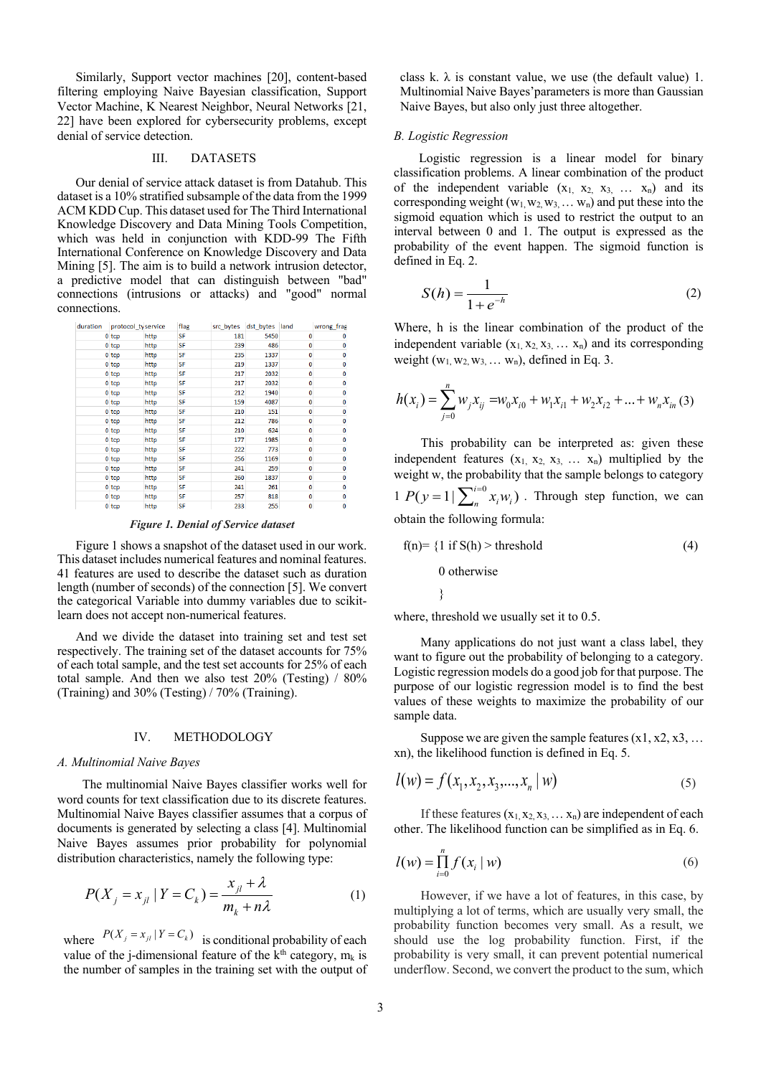Similarly, Support vector machines [20], content-based filtering employing Naive Bayesian classification, Support Vector Machine, K Nearest Neighbor, Neural Networks [21, 22] have been explored for cybersecurity problems, except denial of service detection.

#### III. DATASETS

Our denial of service attack dataset is from Datahub. This dataset is a 10% stratified subsample of the data from the 1999 ACM KDD Cup. This dataset used for The Third International Knowledge Discovery and Data Mining Tools Competition, which was held in conjunction with KDD-99 The Fifth International Conference on Knowledge Discovery and Data Mining [5]. The aim is to build a network intrusion detector, a predictive model that can distinguish between "bad" connections (intrusions or attacks) and "good" normal connections.

| duration | protocol ty service |      | flag | src_bytes | dst bytes land |          | wrong frag |
|----------|---------------------|------|------|-----------|----------------|----------|------------|
|          | $0$ tcp             | http | SF   | 181       | 5450           | 0        |            |
|          | 0 <sub>top</sub>    | http | SF   | 239       | 486            | 0        |            |
|          | $0$ tcp             | http | SF   | 235       | 1337           | 0        | n          |
|          | 0 <sub>top</sub>    | http | SF   | 219       | 1337           | 0        | n          |
|          | 0 <sub>top</sub>    | http | SF   | 217       | 2032           | 0        | n          |
|          | $0$ tcp             | http | SF   | 217       | 2032           | 0        | 0          |
|          | 0 <sub>top</sub>    | http | SF   | 212       | 1940           | 0        | Λ          |
|          | 0 <sub>top</sub>    | http | SF   | 159       | 4087           | 0        | 0          |
|          | $0$ tcp             | http | SF   | 210       | 151            | 0        | n          |
|          | 0 <sub>top</sub>    | http | SF   | 212       | 786            | 0        | 0          |
|          | 0 <sub>top</sub>    | http | SF   | 210       | 624            | 0        | 0          |
|          | $0$ tcp             | http | SF   | 177       | 1985           | 0        | n          |
|          | 0 <sub>top</sub>    | http | SF   | 222       | 773            | 0        | Λ          |
|          | 0 <sub>top</sub>    | http | SF   | 256       | 1169           | 0        | n          |
|          | $0$ tcp             | http | SF   | 241       | 259            | 0        | n          |
|          | $0$ tcp             | http | SF   | 260       | 1837           | 0        | 0          |
|          | 0 <sub>top</sub>    | http | SF   | 241       | 261            | 0        | n          |
|          | $0$ tcp             | http | SF   | 257       | 818            | 0        | o          |
|          | 0 <sub>tan</sub>    | httn | SF   | 233       | 255            | $\Omega$ | n          |

*Figure 1. Denial of Service dataset*

Figure 1 shows a snapshot of the dataset used in our work. This dataset includes numerical features and nominal features. 41 features are used to describe the dataset such as duration length (number of seconds) of the connection [5]. We convert the categorical Variable into dummy variables due to scikitlearn does not accept non-numerical features.

And we divide the dataset into training set and test set respectively. The training set of the dataset accounts for 75% of each total sample, and the test set accounts for 25% of each total sample. And then we also test 20% (Testing) / 80% (Training) and 30% (Testing) / 70% (Training).

## IV. METHODOLOGY

#### *A. Multinomial Naive Bayes*

The multinomial Naive Bayes classifier works well for word counts for text classification due to its discrete features. Multinomial Naive Bayes classifier assumes that a corpus of documents is generated by selecting a class [4]. Multinomial Naive Bayes assumes prior probability for polynomial distribution characteristics, namely the following type:

$$
P(X_j = x_{jl} | Y = C_k) = \frac{x_{jl} + \lambda}{m_k + n\lambda}
$$
 (1)

where  $P(X_j = x_{j} | Y = C_k)$  is conditional probability of each value of the j-dimensional feature of the  $k<sup>th</sup>$  category,  $m_k$  is the number of samples in the training set with the output of

class k.  $\lambda$  is constant value, we use (the default value) 1. Multinomial Naive Bayes'parameters is more than Gaussian Naive Bayes, but also only just three altogether.

## *B. Logistic Regression*

Logistic regression is a linear model for binary classification problems. A linear combination of the product of the independent variable  $(x_1, x_2, x_3, \ldots, x_n)$  and its corresponding weight  $(w_1, w_2, w_3, \dots, w_n)$  and put these into the sigmoid equation which is used to restrict the output to an interval between 0 and 1. The output is expressed as the probability of the event happen. The sigmoid function is defined in Eq. 2.

$$
S(h) = \frac{1}{1 + e^{-h}}
$$
 (2)

Where, h is the linear combination of the product of the independent variable  $(x_1, x_2, x_3, \ldots, x_n)$  and its corresponding weight  $(w_1, w_2, w_3, \dots, w_n)$ , defined in Eq. 3.

$$
h(x_i) = \sum_{j=0}^{n} w_j x_{ij} = w_0 x_{i0} + w_1 x_{i1} + w_2 x_{i2} + \dots + w_n x_{in} (3)
$$

This probability can be interpreted as: given these independent features  $(x_1, x_2, x_3, \ldots, x_n)$  multiplied by the weight w, the probability that the sample belongs to category  $1 P(y=1 | \sum_{n=1}^{i=0} x_i w_i)$ . Through step function, we can obtain the following formula:

$$
f(n) = \{1 \text{ if } S(h) > \text{threshold} \tag{4}
$$
  
0 otherwise

where, threshold we usually set it to 0.5.

Many applications do not just want a class label, they want to figure out the probability of belonging to a category. Logistic regression models do a good job for that purpose. The purpose of our logistic regression model is to find the best values of these weights to maximize the probability of our sample data.

Suppose we are given the sample features  $(x1, x2, x3, ...$ xn), the likelihood function is defined in Eq. 5.

$$
l(w) = f(x_1, x_2, x_3, \dots, x_n \mid w)
$$
\n(5)

If these features  $(x_1, x_2, x_3, \dots, x_n)$  are independent of each other. The likelihood function can be simplified as in Eq. 6.

$$
l(w) = \prod_{i=0}^{n} f(x_i \mid w)
$$
\n<sup>(6)</sup>

However, if we have a lot of features, in this case, by multiplying a lot of terms, which are usually very small, the probability function becomes very small. As a result, we should use the log probability function. First, if the probability is very small, it can prevent potential numerical underflow. Second, we convert the product to the sum, which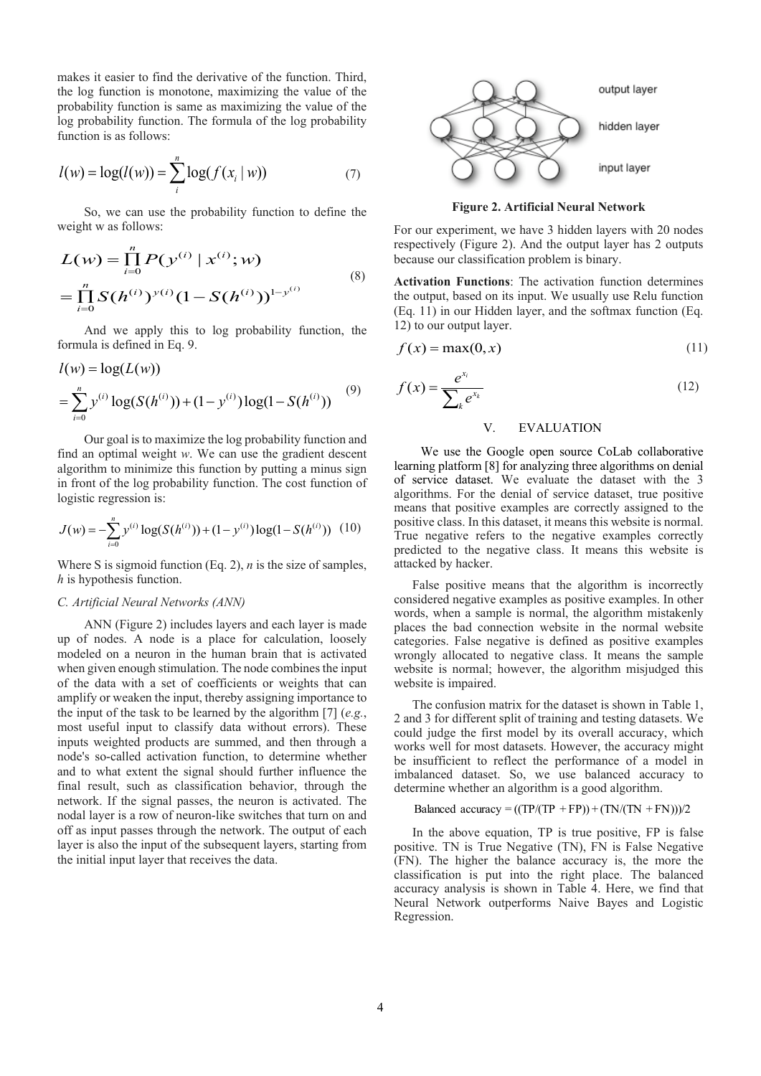makes it easier to find the derivative of the function. Third, the log function is monotone, maximizing the value of the probability function is same as maximizing the value of the log probability function. The formula of the log probability function is as follows:

$$
l(w) = \log(l(w)) = \sum_{i}^{n} \log(f(x_i \mid w))
$$
 (7)

So, we can use the probability function to define the weight w as follows:

$$
L(w) = \prod_{i=0}^{n} P(y^{(i)} | x^{(i)}; w)
$$
  
= 
$$
\prod_{i=0}^{n} S(h^{(i)})^{y(i)} (1 - S(h^{(i)}))^{1-y^{(i)}}
$$
 (8)

And we apply this to log probability function, the formula is defined in Eq. 9.

$$
l(w) = \log(L(w))
$$
  
=  $\sum_{i=0}^{n} y^{(i)} \log(S(h^{(i)})) + (1 - y^{(i)}) \log(1 - S(h^{(i)}))$  (9)

Our goal is to maximize the log probability function and find an optimal weight *w*. We can use the gradient descent algorithm to minimize this function by putting a minus sign in front of the log probability function. The cost function of logistic regression is:

$$
J(w) = -\sum_{i=0}^{n} y^{(i)} \log(S(h^{(i)})) + (1 - y^{(i)}) \log(1 - S(h^{(i)})) \quad (10)
$$

Where S is sigmoid function (Eq. 2), *n* is the size of samples, *h* is hypothesis function.

#### *C. Artificial Neural Networks (ANN)*

ANN (Figure 2) includes layers and each layer is made up of nodes. A node is a place for calculation, loosely modeled on a neuron in the human brain that is activated when given enough stimulation. The node combines the input of the data with a set of coefficients or weights that can amplify or weaken the input, thereby assigning importance to the input of the task to be learned by the algorithm [7] (*e.g.*, most useful input to classify data without errors). These inputs weighted products are summed, and then through a node's so-called activation function, to determine whether and to what extent the signal should further influence the final result, such as classification behavior, through the network. If the signal passes, the neuron is activated. The nodal layer is a row of neuron-like switches that turn on and off as input passes through the network. The output of each layer is also the input of the subsequent layers, starting from the initial input layer that receives the data.



**Figure 2. Artificial Neural Network**

For our experiment, we have 3 hidden layers with 20 nodes respectively (Figure 2). And the output layer has 2 outputs because our classification problem is binary.

**Activation Functions**: The activation function determines the output, based on its input. We usually use Relu function (Eq. 11) in our Hidden layer, and the softmax function (Eq. 12) to our output layer.

$$
f(x) = \max(0, x) \tag{11}
$$

$$
f(x) = \frac{e^{x_i}}{\sum_k e^{x_k}}
$$
\n(12)

# V. EVALUATION

We use the Google open source CoLab collaborative learning platform [8] for analyzing three algorithms on denial of service dataset. We evaluate the dataset with the 3 algorithms. For the denial of service dataset, true positive means that positive examples are correctly assigned to the positive class. In this dataset, it means this website is normal. True negative refers to the negative examples correctly predicted to the negative class. It means this website is attacked by hacker.

False positive means that the algorithm is incorrectly considered negative examples as positive examples. In other words, when a sample is normal, the algorithm mistakenly places the bad connection website in the normal website categories. False negative is defined as positive examples wrongly allocated to negative class. It means the sample website is normal; however, the algorithm misjudged this website is impaired.

The confusion matrix for the dataset is shown in Table 1, 2 and 3 for different split of training and testing datasets. We could judge the first model by its overall accuracy, which works well for most datasets. However, the accuracy might be insufficient to reflect the performance of a model in imbalanced dataset. So, we use balanced accuracy to determine whether an algorithm is a good algorithm.

```
Balanced accuracy = ((TP/(TP + FP)) + (TN/(TN + FN)))/2
```
In the above equation, TP is true positive, FP is false positive. TN is True Negative (TN), FN is False Negative (FN). The higher the balance accuracy is, the more the classification is put into the right place. The balanced accuracy analysis is shown in Table 4. Here, we find that Neural Network outperforms Naive Bayes and Logistic Regression.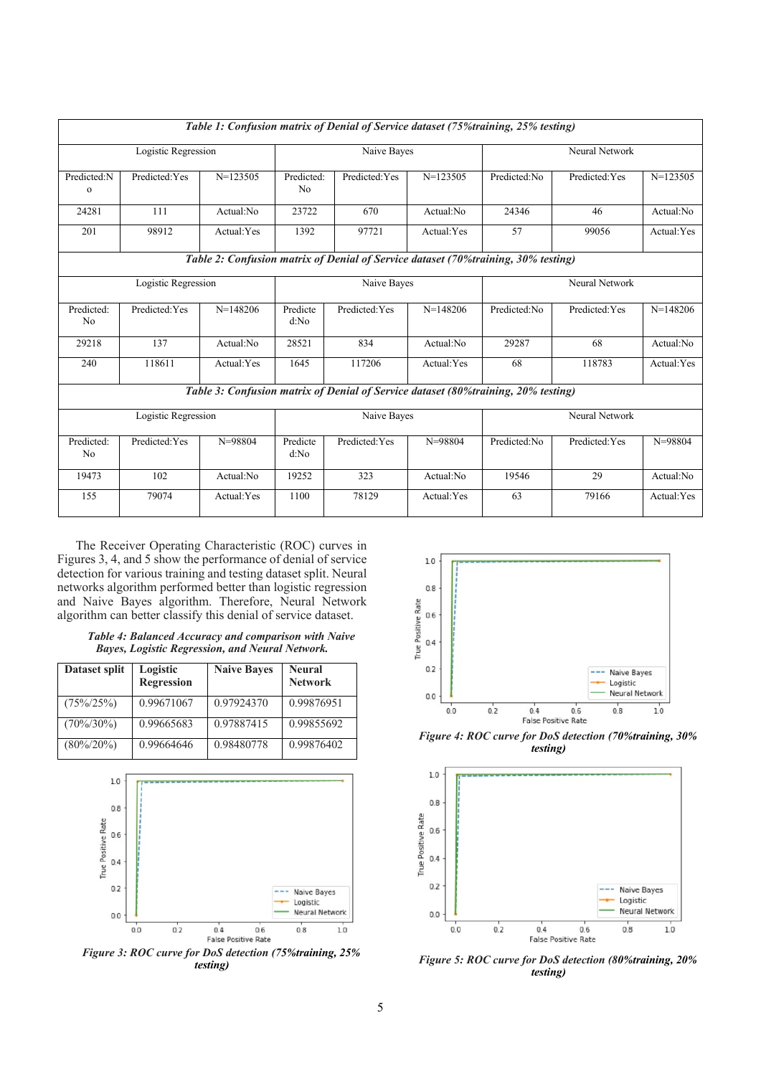| Table 1: Confusion matrix of Denial of Service dataset (75% training, 25% testing) |                |             |                              |                                                                                   |                |              |                |             |
|------------------------------------------------------------------------------------|----------------|-------------|------------------------------|-----------------------------------------------------------------------------------|----------------|--------------|----------------|-------------|
| Logistic Regression                                                                |                | Naive Bayes |                              |                                                                                   | Neural Network |              |                |             |
| Predicted:N<br>$\Omega$                                                            | Predicted: Yes | $N=123505$  | Predicted:<br>N <sub>0</sub> | Predicted: Yes                                                                    | $N=123505$     | Predicted:No | Predicted: Yes | $N=123505$  |
| 24281                                                                              | 111            | Actual:No   | 23722                        | 670                                                                               | Actual:No      | 24346        | 46             | Actual:No   |
| 201                                                                                | 98912          | Actual:Yes  | 1392                         | 97721                                                                             | Actual:Yes     | 57           | 99056          | Actual:Yes  |
|                                                                                    |                |             |                              | Table 2: Confusion matrix of Denial of Service dataset (70%training, 30% testing) |                |              |                |             |
| Logistic Regression                                                                |                | Naive Bayes |                              |                                                                                   | Neural Network |              |                |             |
| Predicted:<br>N <sub>0</sub>                                                       | Predicted: Yes | $N=148206$  | Predicte<br>d:No             | Predicted: Yes                                                                    | $N=148206$     | Predicted:No | Predicted: Yes | $N=148206$  |
| 29218                                                                              | 137            | Actual:No   | 28521                        | 834                                                                               | Actual:No      | 29287        | 68             | Actual:No   |
| 240                                                                                | 118611         | Actual:Yes  | 1645                         | 117206                                                                            | Actual:Yes     | 68           | 118783         | Actual:Yes  |
| Table 3: Confusion matrix of Denial of Service dataset (80%training, 20% testing)  |                |             |                              |                                                                                   |                |              |                |             |
| Logistic Regression                                                                |                | Naive Bayes |                              |                                                                                   | Neural Network |              |                |             |
| Predicted:<br>N <sub>0</sub>                                                       | Predicted: Yes | $N = 98804$ | Predicte<br>d:No             | Predicted: Yes                                                                    | N=98804        | Predicted:No | Predicted: Yes | $N = 98804$ |
| 19473                                                                              | 102            | Actual:No   | 19252                        | 323                                                                               | Actual:No      | 19546        | 29             | Actual:No   |
| 155                                                                                | 79074          | Actual: Yes | 1100                         | 78129                                                                             | Actual:Yes     | 63           | 79166          | Actual:Yes  |

The Receiver Operating Characteristic (ROC) curves in Figures 3, 4, and 5 show the performance of denial of service detection for various training and testing dataset split. Neural networks algorithm performed better than logistic regression and Naive Bayes algorithm. Therefore, Neural Network algorithm can better classify this denial of service dataset.

| <b>Table 4: Balanced Accuracy and comparison with Naive</b> |  |
|-------------------------------------------------------------|--|
| <b>Bayes, Logistic Regression, and Neural Network.</b>      |  |

| Dataset split | Logistic<br><b>Regression</b> | <b>Naive Bayes</b> | <b>Neural</b><br><b>Network</b> |
|---------------|-------------------------------|--------------------|---------------------------------|
| $(75\%/25\%)$ | 0.99671067                    | 0.97924370         | 0.99876951                      |
| $(70\%/30\%)$ | 0.99665683                    | 0.97887415         | 0.99855692                      |
| $(80\%/20\%)$ | 0.99664646                    | 0.98480778         | 0.99876402                      |







*Figure 4: ROC curve for DoS detection (70%training, 30% testing)*



*Figure 5: ROC curve for DoS detection (80%training, 20% testing)*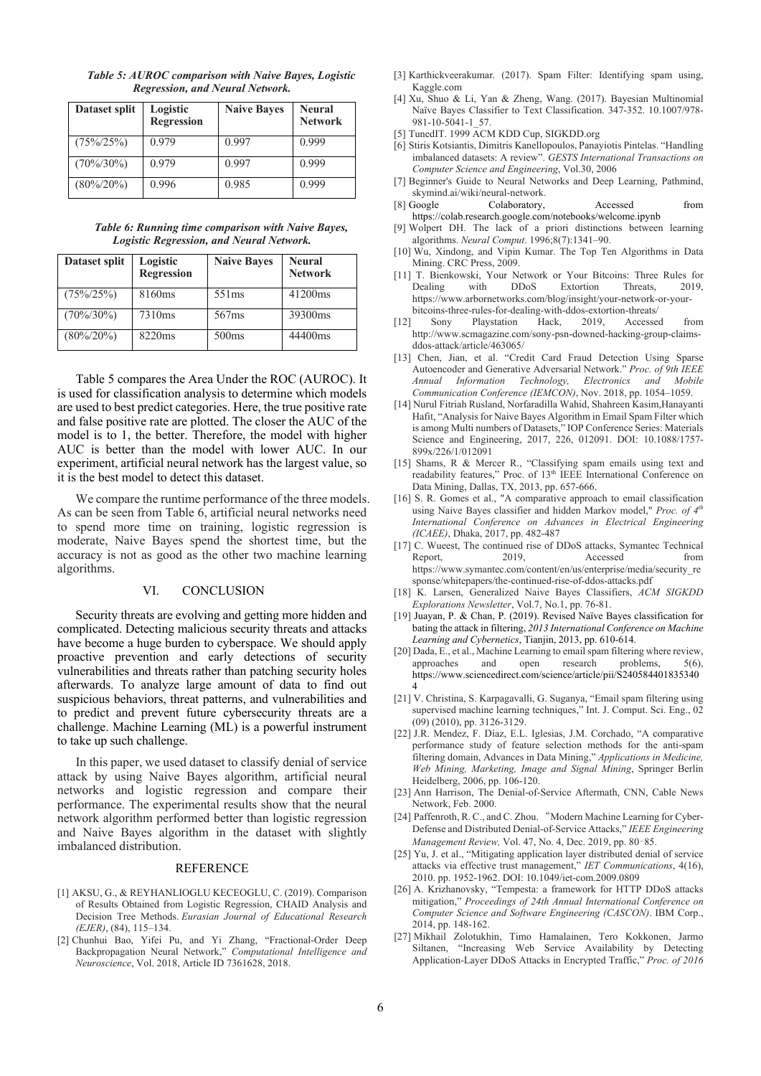*Table 5: AUROC comparison with Naive Bayes, Logistic Regression, and Neural Network.*

| Dataset split | Logistic<br><b>Regression</b> | <b>Naive Bayes</b> | <b>Neural</b><br><b>Network</b> |
|---------------|-------------------------------|--------------------|---------------------------------|
| $(75\%/25\%)$ | 0.979                         | 0.997              | 0.999                           |
| $(70\%/30\%)$ | 0.979                         | 0.997              | 0.999                           |
| $(80\%/20\%)$ | 0.996                         | 0.985              | 0.999                           |

*Table 6: Running time comparison with Naive Bayes, Logistic Regression, and Neural Network.* 

| Dataset split | Logistic<br><b>Regression</b> | <b>Naive Bayes</b> | <b>Neural</b><br><b>Network</b> |
|---------------|-------------------------------|--------------------|---------------------------------|
| $(75\%/25\%)$ | 8160ms                        | 551 <sub>ms</sub>  | 41200ms                         |
| $(70\%/30\%)$ | 7310ms                        | 567 <sub>ms</sub>  | 39300ms                         |
| $(80\%/20\%)$ | 8220ms                        | 500ms              | 44400ms                         |

Table 5 compares the Area Under the ROC (AUROC). It is used for classification analysis to determine which models are used to best predict categories. Here, the true positive rate and false positive rate are plotted. The closer the AUC of the model is to 1, the better. Therefore, the model with higher AUC is better than the model with lower AUC. In our experiment, artificial neural network has the largest value, so it is the best model to detect this dataset.

We compare the runtime performance of the three models. As can be seen from Table 6, artificial neural networks need to spend more time on training, logistic regression is moderate, Naive Bayes spend the shortest time, but the accuracy is not as good as the other two machine learning algorithms.

#### VI. CONCLUSION

Security threats are evolving and getting more hidden and complicated. Detecting malicious security threats and attacks have become a huge burden to cyberspace. We should apply proactive prevention and early detections of security vulnerabilities and threats rather than patching security holes afterwards. To analyze large amount of data to find out suspicious behaviors, threat patterns, and vulnerabilities and to predict and prevent future cybersecurity threats are a challenge. Machine Learning (ML) is a powerful instrument to take up such challenge.

In this paper, we used dataset to classify denial of service attack by using Naive Bayes algorithm, artificial neural networks and logistic regression and compare their performance. The experimental results show that the neural network algorithm performed better than logistic regression and Naive Bayes algorithm in the dataset with slightly imbalanced distribution.

#### **REFERENCE**

- [1] AKSU, G., & REYHANLIOGLU KECEOGLU, C. (2019). Comparison of Results Obtained from Logistic Regression, CHAID Analysis and Decision Tree Methods. *Eurasian Journal of Educational Research (EJER)*, (84), 115–134.
- [2] Chunhui Bao, Yifei Pu, and Yi Zhang, "Fractional-Order Deep Backpropagation Neural Network," *Computational Intelligence and Neuroscience*, Vol. 2018, Article ID 7361628, 2018.
- [3] Karthickveerakumar. (2017). Spam Filter: Identifying spam using, Kaggle.com
- [4] Xu, Shuo & Li, Yan & Zheng, Wang. (2017). Bayesian Multinomial Naïve Bayes Classifier to Text Classification. 347-352. 10.1007/978- 981-10-5041-1\_57.
- [5] TunedIT. 1999 ACM KDD Cup, SIGKDD.org
- [6] Stiris Kotsiantis, Dimitris Kanellopoulos, Panayiotis Pintelas. "Handling imbalanced datasets: A review". *GESTS International Transactions on Computer Science and Engineering*, Vol.30, 2006
- [7] Beginner's Guide to Neural Networks and Deep Learning, Pathmind, skymind.ai/wiki/neural-network.<br>[8] Google Colaboratory,
- $\text{Colaboratory},$  Accessed from https://colab.research.google.com/notebooks/welcome.ipynb
- Wolpert DH. The lack of a priori distinctions between learning algorithms. *Neural Comput*. 1996;8(7):1341–90.
- [10] Wu, Xindong, and Vipin Kumar. The Top Ten Algorithms in Data Mining. CRC Press, 2009.
- [11] T. Bienkowski, Your Network or Your Bitcoins: Three Rules for Extortion Threats, 2019, https://www.arbornetworks.com/blog/insight/your-network-or-yourbitcoins-three-rules-for-dealing-with-ddos-extortion-threats/
- [12] Sony Playstation Hack, 2019, Accessed from http://www.scmagazine.com/sony-psn-downed-hacking-group-claimsddos-attack/article/463065/
- [13] Chen, Jian, et al. "Credit Card Fraud Detection Using Sparse Autoencoder and Generative Adversarial Network." *Proc. of 9th IEEE Annual Information Technology, Electronics and Mobile Communication Conference (IEMCON)*, Nov. 2018, pp. 1054–1059.
- [14] Nurul Fitriah Rusland, Norfaradilla Wahid, Shahreen Kasim,Hanayanti Hafit, "Analysis for Naive Bayes Algorithm in Email Spam Filter which is among Multi numbers of Datasets," IOP Conference Series: Materials Science and Engineering, 2017, 226, 012091. DOI: 10.1088/1757- 899x/226/1/012091
- [15] Shams, R & Mercer R., "Classifying spam emails using text and readability features," Proc. of 13<sup>th</sup> IEEE International Conference on Data Mining, Dallas, TX, 2013, pp. 657-666.
- [16] S. R. Gomes et al., "A comparative approach to email classification using Naive Bayes classifier and hidden Markov model," Proc. of 4<sup>th</sup> *International Conference on Advances in Electrical Engineering (ICAEE)*, Dhaka, 2017, pp. 482-487
- [17] C. Wueest, The continued rise of DDoS attacks, Symantec Technical Report, 2019, Accessed from https://www.symantec.com/content/en/us/enterprise/media/security\_re sponse/whitepapers/the-continued-rise-of-ddos-attacks.pdf
- [18] K. Larsen, Generalized Naive Bayes Classifiers, *ACM SIGKDD Explorations Newsletter*, Vol.7, No.1, pp. 76-81.
- [19] Juayan, P. & Chan, P. (2019). Revised Naïve Bayes classification for bating the attack in filtering, *2013 International Conference on Machine Learning and Cybernetics*, Tianjin, 2013, pp. 610-614.
- [20] Dada, E., et al., Machine Learning to email spam filtering where review, approaches and open research problems, 5(6), https://www.sciencedirect.com/science/article/pii/S240584401835340 4
- [21] V. Christina, S. Karpagavalli, G. Suganya, "Email spam filtering using supervised machine learning techniques," Int. J. Comput. Sci. Eng., 02 (09) (2010), pp. 3126-3129.
- [22] J.R. Mendez, F. Díaz, E.L. Iglesias, J.M. Corchado, "A comparative performance study of feature selection methods for the anti-spam filtering domain, Advances in Data Mining," *Applications in Medicine, Web Mining, Marketing, Image and Signal Mining*, Springer Berlin Heidelberg, 2006, pp. 106-120.
- [23] Ann Harrison, The Denial-of-Service Aftermath, CNN, Cable News Network, Feb. 2000.
- [24] Paffenroth, R. C., and C. Zhou. "Modern Machine Learning for Cyber-Defense and Distributed Denial-of-Service Attacks," *IEEE Engineering Management Review,* Vol. 47, No. 4, Dec. 2019, pp. 80–85.
- [25] Yu, J. et al., "Mitigating application layer distributed denial of service attacks via effective trust management," *IET Communications*, 4(16), 2010. pp. 1952-1962. DOI: 10.1049/iet-com.2009.0809
- [26] A. Krizhanovsky, "Tempesta: a framework for HTTP DDoS attacks mitigation," *Proceedings of 24th Annual International Conference on Computer Science and Software Engineering (CASCON)*. IBM Corp., 2014, pp. 148-162.
- [27] Mikhail Zolotukhin, Timo Hamalainen, Tero Kokkonen, Jarmo Siltanen, "Increasing Web Service Availability by Detecting Application-Layer DDoS Attacks in Encrypted Traffic," *Proc. of 2016*